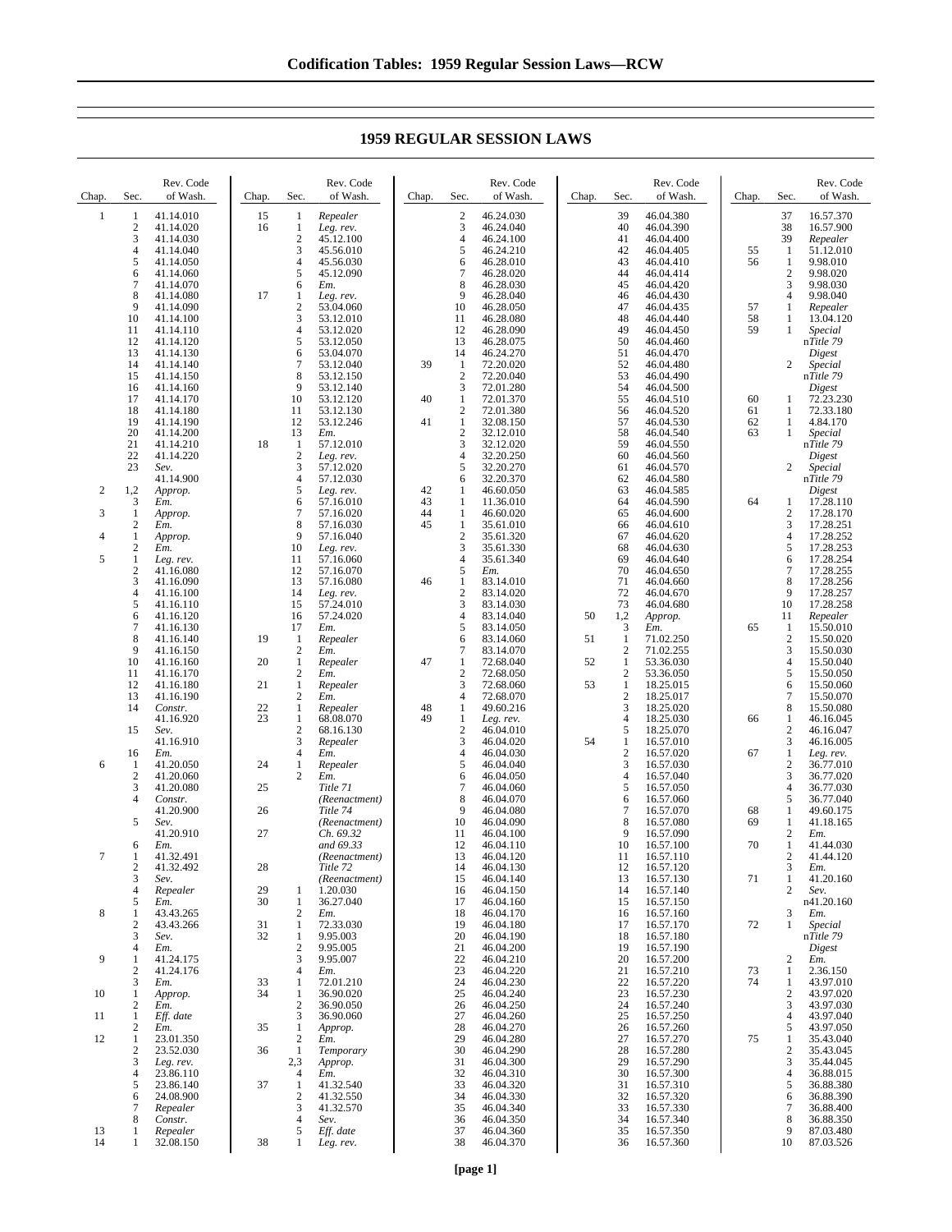Chap. Sec. Rev. Code of Wash.  $\frac{1}{2}$   $\frac{41.14.010}{41.14.020}$ 2 41.14.020<br>3 41.14.030 3 41.14.030 4 41.14.040  $\begin{array}{cccc} 5 & 41.14.050 \\ 6 & 41.14.060 \\ 7 & 41.14.070 \end{array}$ 41.14.060  $\begin{bmatrix} 7 & 41.14.070 \\ 8 & 41.14.080 \end{bmatrix}$ 8 41.14.080<br>9 41.14.090 9 41.14.090<br>10 41.14.100 10 41.14.100 11 41.14.110<br>12 41.14.120 12 41.14.120<br>13 41.14.130 13 41.14.130<br>14 41.14.140 14 41.14.140<br>15 41.14.150 41.14.150 16 41.14.160<br>17 41.14.170 17 41.14.170<br>18 41.14.180 18 41.14.180<br>19 41.14.190 19 41.14.190<br>20 41.14.200<br>21 41.14.210 20 41.14.200 21 41.14.210<br>22 41.14.220  $\begin{array}{r} 22 \\ 23 \\ 24 \end{array}$  41.14.220 23 *Sev.* 41.14.900 2 1,2 *Approp.* 3 *Em.* 3 1 *Approp.* 2 *Em.* 4 1 *Approp.* 2 *Em.* 5 1 *Leg. rev.*  $\begin{array}{r}\n 2 \quad 41.16.080 \\
 3 \quad 41.16.090\n \end{array}$ 3 41.16.090 4 41.16.100<br>5 41.16.110<br>6 41.16.120 41.16.110  $\begin{bmatrix} 6 & 41.16.120 \\ 7 & 41.16.130 \end{bmatrix}$ 7 41.16.130<br>8 41.16.140<br>9 41.16.150 8 41.16.140 9 41.16.150<br>10 41.16.160 10 41.16.160 11 41.16.170<br>12 41.16.180 12 41.16.180 13 41.16.190 14 *Constr.* 41.16.920 15 *Sev.* 41.16.910 16 *Em.*  $\begin{array}{r}\n 6 \quad 1 \quad 41.20.050 \\
 \hline\n 2 \quad 41.20.060 \\
 \hline\n 3 \quad 41.20.080\n \end{array}$ 2 41.20.060 3 41.20.080<br>4 Constr. 4 *Constr.* 41.20.900 5 *Sev.* 41.20.910 6 *Em.* 7 1 41.32.491  $\frac{2}{3}$  41.32.492 3 *Sev.* 4 *Repealer* 5 *Em.*  $\begin{array}{r} 8 \\ 1 \\ 2 \end{array}$   $\begin{array}{r} 2m \\ 43.43.265 \\ 43.43.266 \end{array}$ 2 43.43.266<br>3 Sev. 3 *Sev.* 4 *Em.* 9 1 41.24.175 2  $41.24.176$ <br>3  $Em.$ 3 *Em.* Chap. Sec Rev. Code of Wash. 15 1 *Repealer* 16 1 *Leg. rev.* 2 45.12.100 3 45.56.010<br>4 45.56.030  $4\overline{)45.56.030}$ <br>5 45.12.090  $5$  45.12.090<br>6 Em. 6 *Em.* 17 1 *Leg. rev.* 2 53.04.060<br>3 53.12.010<br>4 53.12.020 3 53.12.010 4 53.12.020<br>5 53.12.050  $5$   $53.12.050$ <br>6  $53.04.070$ 6 53.04.070<br>7 53.12.040 7 53.12.040<br>8 53.12.150<br>9 53.12.140 53.12.150  $9$  53.12.140<br>10 53.12.120 10 53.12.120<br>11 53.12.130 11 53.12.130<br>12 53.12.246 12 53.12.246<br>13 Em. 13 *Em.*<br>
18 1 57.12.010 2 *Leg. rev.* 3 57.12.020<br>4 57.12.030 57.12.030 5 *Leg. rev.* 6 57.16.010 7 57.16.020<br>8 57.16.030 8 57.16.030<br>9 57.16.040 9  $57.16.040$ <br>10 *Leg. rev.* 10 *Leg. rev.* 11 57.16.060 12 57.16.070<br>13 57.16.080 57.16.080 14 *Leg. rev.* 15 57.24.010  $\frac{16}{17}$  57.24.020<br>17 *Em.* 17 *Em.* 19 1 *Repealer* 2 *Em.* 20 1 *Repealer* 2 *Em.* 21 1 *Repealer* 2 *Em.* 22 1 *Repealer* 1 68.08.070 2 68.16.130<br>3 *Renealer* 3 *Repealer* 4 *Em.* 24 1 *Repealer* 2 *Em.* 25 *Title 71 (Reenactment)* 26 *Title 74 (Reenactment)* 27 *Ch. 69.32 and 69.33 (Reenactment)* 28 *Title 72 (Reenactment)* 29 1 1.20.030<br>30 1 36.27.040  $\frac{1}{2}$  36.27.040 2 *Em.*  $\begin{array}{r}\n 31 \quad 1 \quad 72.33.030 \\
 32 \quad 1 \quad 9.95.003\n \end{array}$ 1 9.95.003<br>2 9.95.005<br>3 9.95.007 2 9.95.005  $\frac{3}{4}$  9.95.007 4 *Em.* 33 1 72.01.210 Chap. Sec Rev. Code of Wash.  $\begin{array}{r} 2 & 46.24.030 \\ 3 & 46.24.040 \end{array}$ 3 46.24.040<br>4 46.24.100  $46.24.100$ <br> $546.24.210$ 5 46.24.210  $\frac{6}{7}$   $\frac{46.28.010}{46.28.020}$ 7 46.28.020<br>8 46.28.030  $\begin{array}{r} 8 \\ 46.28.030 \\ 9 \\ 46.28.040 \end{array}$  $9$  46.28.040<br>10 46.28.050 10 46.28.050<br>11 46.28.080 11 46.28.080 12 46.28.090 13 46.28.075<br>14 46.24.270 14 46.24.270<br>1 72.20.020 39 1 72.20.020<br>2 72.20.040<br>3 72.01.280 2 72.20.040 3 72.01.280 40 1 72.01.370<br>2 72.01.380 2 72.01.380<br>1 32.08.150 41 1 32.08.150<br>2 32.12.010 2 32.12.010<br>3 32.12.020  $\frac{3}{3}$   $\frac{32.12.020}{32.20.250}$  $\frac{4}{5}$  32.20.250  $\begin{array}{r} 5 \\ 6 \\ \end{array} \quad \begin{array}{r} 32.20.270 \\ 32.20.370 \end{array}$ 32.20.370 42 1 46.60.050 43 1 11.36.010<br>44 1 46.60.020 44 1 46.60.020<br>45 1 35.61.010  $\begin{array}{r} 1 & 35.61.010 \\ 2 & 35.61.320 \\ 3 & 35.61.330 \end{array}$ 2 35.61.320 3 35.61.330<br>4 35.61.340  $\frac{4}{5}$  35.61.340<br>5 Em. 5 *Em.* 46 1 83.14.010 2 83.14.020<br>3 83.14.030 3 83.14.030  $\begin{bmatrix} 4 & 83.14.040 \\ 5 & 83.14.050 \end{bmatrix}$  $\begin{array}{r} 5 \\ 6 \\ \phantom{0}6 \\ \end{array} \quad \begin{array}{r} 83.14.050 \\ 83.14.060 \\ \end{array}$ 83.14.060 7 83.14.070 47 1 72.68.040<br>2 72.68.050  $\frac{2}{3}$  72.68.050 72.68.060 4 72.68.070<br>1 49.60.216 48 1 49.60.216<br>49 1 Lee rev. 49 1 *Leg. rev.* 2 46.04.010  $\overline{3}$  46.04.020 4 46.04.030<br>5 46.04.040  $\begin{array}{r}\n 5 \quad 46.04.040 \\
 6 \quad 46.04.050 \\
 7 \quad 46.04.060\n \end{array}$ 6 46.04.050 7 46.04.060  $\begin{array}{@{}c@{}} 8 & 46.04.070 \\ 9 & 46.04.080 \end{array}$ 9 46.04.080<br>10 46.04.090 10 46.04.090<br>11 46.04.100  $\frac{11}{12}$   $\frac{46.04.100}{46.04.110}$ 12 46.04.110<br>13 46.04.120 46.04.120 14 46.04.130<br>15 46.04.140 15 46.04.140 16 46.04.150<br>17 46.04.160 17 46.04.160<br>18 46.04.170 18 46.04.170<br>19 46.04.180 19 46.04.180<br>20 46.04.190 20 46.04.190<br>21 46.04.200<br>22 46.04.210 21 46.04.200 22 46.04.210<br>23 46.04.220 23 46.04.220<br>24 46.04.230 24 46.04.230<br>25 46.04.240 Chap. Sec Rev. Code of Wash. 39 46.04.380<br>40 46.04.390 40 46.04.390<br>41 46.04.400 41 46.04.400<br>42 46.04.405 42 46.04.405<br>43 46.04.410 43 46.04.410 44 46.04.414<br>45 46.04.420 45 46.04.420 46 46.04.430<br>47 46.04.435 47 46.04.435<br>48 46.04.440<br>49 46.04.450 48 46.04.440 49 46.04.450 50 46.04.460<br>51 46.04.470 51 46.04.470 52 46.04.480<br>53 46.04.490<br>54 46.04.500 46.04.490 54 46.04.500 55 46.04.510 56 46.04.520 57 46.04.530<br>58 46.04.540<br>59 46.04.550 46.04.540 59 46.04.550<br>60 46.04.560 60 46.04.560 61 46.04.570 62 46.04.580<br>63 46.04.585<br>64 46.04.590 46.04.585 64 46.04.590<br>65 46.04.600 65 46.04.600 66 46.04.610<br>67 46.04.620 46.04.620 68 46.04.630<br>69 46.04.640 69 46.04.640<br>70 46.04.650 70 46.04.650 46.04.660 72 46.04.670<br>73 46.04.680<br>1,2 Approp. 46.04.680 50 1,2 *Approp.*  $\begin{array}{cc} 3 & Em. \\ 1 & 71.0 \end{array}$  $51 \qquad 1 \qquad 71.02.250$ 2 71.02.255 52 1 53.36.030<br>2 53.36.050 2 53.36.050<br>1 18.25.015 53 1 18.25.015 2 18.25.017<br>3 18.25.020 3 18.25.020 4 18.25.030<br>5 18.25.070  $\frac{5}{1}$  18.25.070 54 1 16.57.010 2 16.57.020<br>3 16.57.030 3 16.57.030 4 16.57.040<br>5 16.57.050 5 16.57.050 6 16.57.060 7 16.57.070 8 16.57.080<br>9 16.57.090 9 16.57.090<br>10 16.57.100 10 16.57.100<br>11 16.57.110 16.57.110 12 16.57.120<br>13 16.57.130 13 16.57.130 14 16.57.140<br>15 16.57.150 15 16.57.150<br>16 16.57.160 16 16.57.160<br>17 16.57.170 17 16.57.170<br>18 16.57.180 18 16.57.180 19 16.57.190 20 16.57.200<br>21 16.57.210 21 16.57.210<br>22 16.57.220 22 16.57.220<br>23 16.57.230 Chap. Sec. Rev. Code of Wash. 37 16.57.370<br>38 16.57.900 38 16.57.900<br>39 *Repealer* 39 *Repealer* 55 1 51.12.010  $\frac{1}{2}$  9.98.010 2 9.98.020<br>3 9.98.030  $\overline{3}$  9.98.030<br>4 9.98.040 4 9.98.040<br>1 *Repealer* 57 1 *Repealer* 1 13.04.120<br>1 *Special* 59 1 *Special* n*Title 79 Digest* 2 *Special* n*Title 79 Digest*<br>
60 1 72.23.230 61 1 72.33.180 62 1 4.84.170 63 1 *Special* n*Title 79 Digest* 2 *Special* n*Title 79 Digest*<br>
64 1 17.28.110 2 17.28.170 3 17.28.251 17.28.252 5 17.28.253 6 17.28.254<br>7 17.28.255 7 17.28.255<br>8 17.28.256 8 17.28.256 9 17.28.257<br>10 17.28.258 10 17.28.258<br>11 *Repealer* 11 *Repealer* 65 1 15.50.010<br>2 15.50.020<br>3 15.50.030 15.50.020 3 15.50.030 4 15.50.040<br>5 15.50.050 5 15.50.050 15.50.060 7 15.50.070<br>8 15.50.080 8 15.50.080 66 1 46.16.045 2 46.16.047<br>3 46.16.005 3 46.16.005 67 1 *Leg. rev.* 2 36.77.010  $36.77.020$ <br> $436.77.030$ 4 36.77.030<br>5 36.77.040 5 36.77.040 68 1 49.60.175 69 1 41.18.165  $\frac{2}{1}$  *Em.*  $\frac{1}{2}$   $\frac{41.44.030}{41.44.120}$ 2  $41.44.120$ <br>3  $Em.$  $\frac{3}{1}$  *Em.* 71  $1$  41.20.160<br>2 Sev. 2 *Sev.* n41.20.160 3 *Em.* 72 1 *Special* n*Title 79 Digest* 2 *Em.* 73 1 2.36.150 74 1 43.97.010<br>2 43.97.020

## **1959 REGULAR SESSION LAWS**

25 46.04.240 26 46.04.250<br>27 46.04.260 27 46.04.260<br>28 46.04.270 28 46.04.270<br>29 46.04.280 29 46.04.280 30 46.04.290<br>31 46.04.300<br>32 46.04.310 31 46.04.300 32 46.04.310 33 46.04.320<br>34 46.04.330 34 46.04.330<br>35 46.04.340 35 46.04.340<br>36 46.04.350<br>37 46.04.360 36 46.04.350 37 46.04.360 38 46.04.370

23 16.57.230<br>24 16.57.240<br>25 16.57.250 16.57.240 25 16.57.250<br>26 16.57.260 26 16.57.260<br>27 16.57.270 27 16.57.270<br>28 16.57.280 28 16.57.280<br>29 16.57.290<br>30 16.57.300 16.57.290 30 16.57.300<br>31 16.57.310 31 16.57.310<br>32 16.57.320 32 16.57.320<br>33 16.57.330 33 16.57.330<br>34 16.57.340<br>35 16.57.350 34 16.57.340 35 16.57.350 36 16.57.360

2 43.97.020<br>3 43.97.030 3 43.97.030<br>4 43.97.040 4 43.97.040<br>5 43.97.050  $\frac{43.97.050}{35.43.040}$ 75 1 35.43.040 2 35.43.045<br>3 35.44.045<br>4 36.88.015 3 35.44.045 4 36.88.015 5 36.88.380<br>6 36.88.390 6 36.88.390 7 36.88.400<br>8 36.88.350<br>9 87.03.480 8 36.88.350 9 87.03.480 10 87.03.526

10 1 *Approp.*  $\frac{2}{1}$  *Em.* 11 1 *Eff. date*  $\frac{2}{1}$  *Em.*  $\frac{1}{2}$   $\frac{23.01.350}{23.52.030}$ 2 23.52.030<br>3 Leg. rev.<br>4 23.86.110 3 *Leg. rev.* 4 23.86.110  $\begin{array}{r} 5 \ 6 \ 24.08.900 \end{array}$ 6 24.08.900<br>7 *Repealer* 7 *Repealer*  $\emph{Constr.}$ 

13 1 *Repealer*

32.08.150

34 1 36.90.020  $\frac{2}{3}$  36.90.050 36.90.060

35 1 *Approp.* 2 *Em.* 36 1 *Temporary* 2,3 *Approp.* 4 *Em.* 37 1 41.32.540<br>2 41.32.550 2 41.32.550<br>3 41.32.570 3 41.32.570<br>4 *Sev.* 4 *Sev.* 5 *Eff. date* 38 1 *Leg. rev.*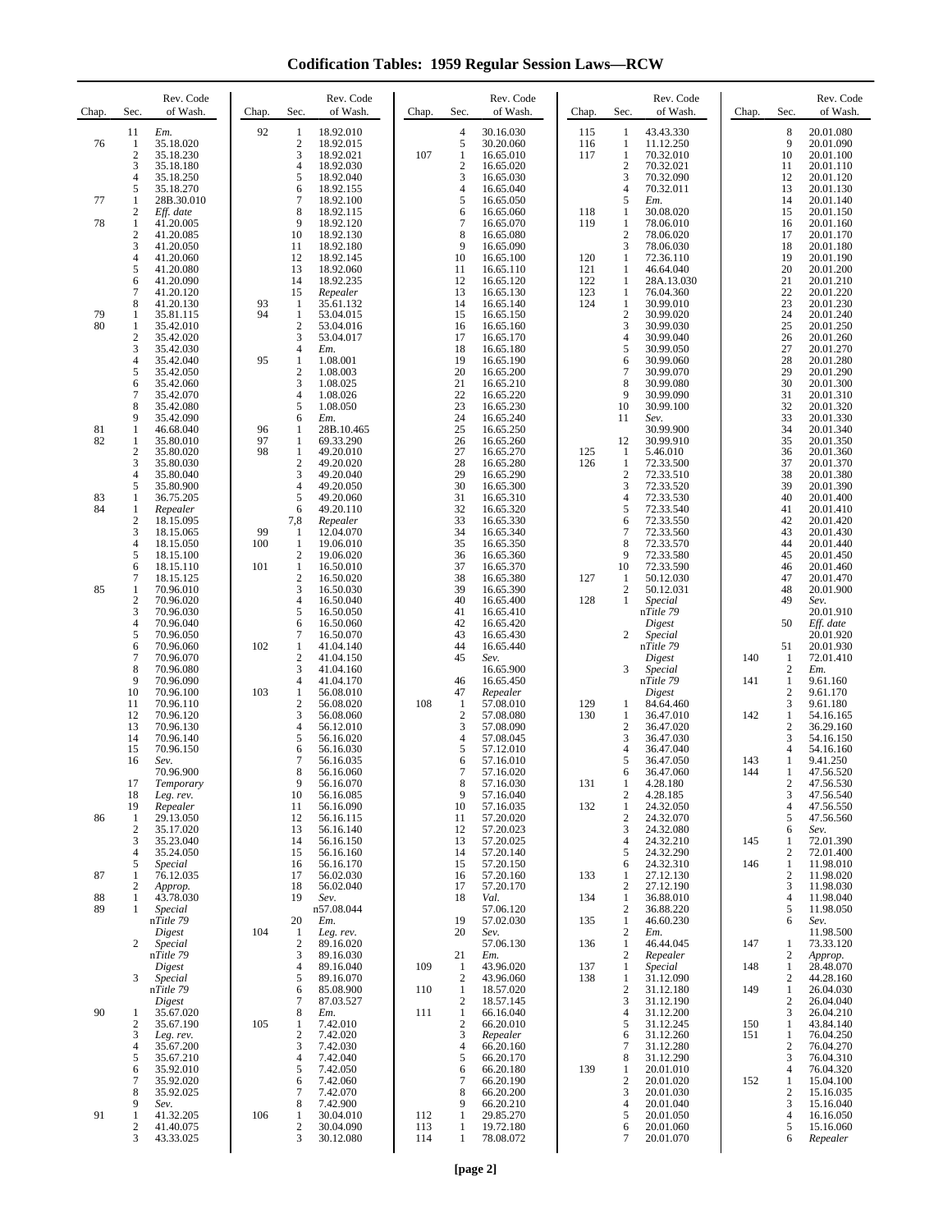**Codification Tables: 1959 Regular Session Laws—RCW**

| Chap. | Sec.                      | Rev. Code<br>of Wash.               | Chap.     | Sec.                             | Rev. Code<br>of Wash.               | Chap.      | Sec.                                    | Rev. Code<br>of Wash.               | Chap.             | Sec.                             | Rev. Code<br>of Wash.               | Chap.      | Sec.                                             | Rev. Code<br>of Wash.                            |
|-------|---------------------------|-------------------------------------|-----------|----------------------------------|-------------------------------------|------------|-----------------------------------------|-------------------------------------|-------------------|----------------------------------|-------------------------------------|------------|--------------------------------------------------|--------------------------------------------------|
| 76    | 11<br>1<br>$\overline{c}$ | Em.<br>35.18.020<br>35.18.230       | 92        | 1<br>$\boldsymbol{2}$<br>3       | 18.92.010<br>18.92.015<br>18.92.021 | 107        | $\overline{4}$<br>5<br>$\mathbf{1}$     | 30.16.030<br>30.20.060<br>16.65.010 | 115<br>116<br>117 | 1<br>1<br>$\mathbf{1}$           | 43.43.330<br>11.12.250<br>70.32.010 |            | 8<br>9<br>10                                     | 20.01.080<br>20.01.090<br>20.01.100<br>20.01.110 |
|       | 3<br>4                    | 35.18.180<br>35.18.250<br>35.18.270 |           | $\overline{4}$<br>5              | 18.92.030<br>18.92.040              |            | $\boldsymbol{2}$<br>3<br>$\overline{4}$ | 16.65.020<br>16.65.030              |                   | $\overline{2}$<br>3              | 70.32.021<br>70.32.090              |            | 11<br>12                                         | 20.01.120                                        |
| 77    | 5<br>1                    | 28B.30.010                          |           | 6<br>$\tau$                      | 18.92.155<br>18.92.100              |            | 5                                       | 16.65.040<br>16.65.050              |                   | $\overline{4}$<br>5              | 70.32.011<br>Em.                    |            | 13<br>14                                         | 20.01.130<br>20.01.140                           |
| 78    | $\boldsymbol{2}$<br>1     | Eff. date<br>41.20.005              |           | 8<br>9                           | 18.92.115<br>18.92.120              |            | 6<br>$\boldsymbol{7}$                   | 16.65.060<br>16.65.070              | 118<br>119        | 1<br>1                           | 30.08.020<br>78.06.010              |            | 15<br>16                                         | 20.01.150<br>20.01.160                           |
|       | $\sqrt{2}$<br>3           | 41.20.085<br>41.20.050              |           | 10<br>11                         | 18.92.130<br>18.92.180              |            | 8<br>9                                  | 16.65.080<br>16.65.090              |                   | $\overline{2}$<br>3              | 78.06.020<br>78.06.030              |            | 17<br>18                                         | 20.01.170<br>20.01.180                           |
|       | 4<br>5                    | 41.20.060<br>41.20.080              |           | 12<br>13                         | 18.92.145<br>18.92.060              |            | 10<br>11                                | 16.65.100<br>16.65.110              | 120<br>121        | 1<br>1                           | 72.36.110<br>46.64.040              |            | 19<br>20                                         | 20.01.190<br>20.01.200                           |
|       | 6<br>7                    | 41.20.090<br>41.20.120              |           | 14<br>15                         | 18.92.235<br>Repealer               |            | 12<br>13                                | 16.65.120<br>16.65.130              | 122<br>123        | 1<br>1                           | 28A.13.030<br>76.04.360             |            | 21<br>22                                         | 20.01.210<br>20.01.220                           |
| 79    | 8<br>1                    | 41.20.130<br>35.81.115              | 93<br>94  | 1<br>$\mathbf{1}$                | 35.61.132<br>53.04.015              |            | 14<br>15                                | 16.65.140<br>16.65.150              | 124               | 1<br>$\overline{c}$              | 30.99.010<br>30.99.020              |            | 23<br>24                                         | 20.01.230<br>20.01.240                           |
| 80    | 1<br>$\sqrt{2}$           | 35.42.010<br>35.42.020              |           | $\sqrt{2}$<br>$\mathfrak{Z}$     | 53.04.016<br>53.04.017              |            | 16<br>17                                | 16.65.160<br>16.65.170              |                   | 3<br>$\overline{4}$              | 30.99.030<br>30.99.040              |            | 25<br>26                                         | 20.01.250<br>20.01.260                           |
|       | 3<br>4                    | 35.42.030<br>35.42.040              | 95        | $\overline{4}$<br>$\mathbf{1}$   | Em.<br>1.08.001                     |            | 18<br>19                                | 16.65.180<br>16.65.190              |                   | 5<br>6                           | 30.99.050<br>30.99.060              |            | 27<br>28                                         | 20.01.270<br>20.01.280                           |
|       | 5<br>6                    | 35.42.050<br>35.42.060              |           | $\overline{2}$<br>3              | 1.08.003<br>1.08.025                |            | 20<br>21                                | 16.65.200<br>16.65.210              |                   | $\overline{7}$<br>8              | 30.99.070<br>30.99.080              |            | 29<br>30                                         | 20.01.290<br>20.01.300                           |
|       | 7<br>8                    | 35.42.070<br>35.42.080              |           | $\overline{4}$<br>5              | 1.08.026<br>1.08.050                |            | 22<br>23                                | 16.65.220<br>16.65.230              |                   | 9<br>10                          | 30.99.090<br>30.99.100              |            | 31<br>32                                         | 20.01.310<br>20.01.320                           |
| 81    | 9<br>1                    | 35.42.090<br>46.68.040              | 96        | 6<br>1                           | Em.<br>28B.10.465                   |            | 24<br>25                                | 16.65.240<br>16.65.250              |                   | 11                               | Sev.<br>30.99.900                   |            | 33<br>34                                         | 20.01.330<br>20.01.340                           |
| 82    | 1<br>$\boldsymbol{2}$     | 35.80.010<br>35.80.020              | 97<br>98  | $\mathbf{1}$<br>$\mathbf{1}$     | 69.33.290<br>49.20.010              |            | 26<br>27                                | 16.65.260<br>16.65.270              | 125               | 12<br>1                          | 30.99.910<br>5.46.010               |            | 35<br>36                                         | 20.01.350<br>20.01.360                           |
|       | 3<br>4                    | 35.80.030<br>35.80.040              |           | $\sqrt{2}$<br>3                  | 49.20.020<br>49.20.040              |            | 28<br>29                                | 16.65.280<br>16.65.290              | 126               | $\mathbf{1}$<br>$\boldsymbol{2}$ | 72.33.500<br>72.33.510              |            | 37<br>38                                         | 20.01.370<br>20.01.380                           |
| 83    | 5<br>1                    | 35.80.900<br>36.75.205              |           | $\overline{4}$<br>5              | 49.20.050<br>49.20.060              |            | 30<br>31                                | 16.65.300<br>16.65.310              |                   | 3<br>4                           | 72.33.520<br>72.33.530              |            | 39<br>40                                         | 20.01.390<br>20.01.400                           |
| 84    | 1<br>$\overline{2}$       | Repealer<br>18.15.095               |           | 6<br>7,8                         | 49.20.110<br>Repealer               |            | 32<br>33                                | 16.65.320<br>16.65.330              |                   | 5<br>6                           | 72.33.540<br>72.33.550              |            | 41<br>42                                         | 20.01.410<br>20.01.420                           |
|       | 3<br>$\overline{4}$       | 18.15.065<br>18.15.050              | 99<br>100 | 1<br>$\mathbf{1}$                | 12.04.070<br>19.06.010              |            | 34<br>35                                | 16.65.340<br>16.65.350              |                   | 7<br>8                           | 72.33.560<br>72.33.570              |            | 43<br>44                                         | 20.01.430<br>20.01.440                           |
|       | 5<br>6                    | 18.15.100<br>18.15.110              | 101       | $\boldsymbol{2}$<br>$\,1\,$      | 19.06.020<br>16.50.010              |            | 36<br>37                                | 16.65.360<br>16.65.370              |                   | 9<br>10                          | 72.33.580<br>72.33.590              |            | 45<br>46                                         | 20.01.450<br>20.01.460                           |
| 85    | $\overline{7}$<br>1       | 18.15.125<br>70.96.010              |           | $\overline{2}$<br>$\mathfrak{Z}$ | 16.50.020<br>16.50.030              |            | 38<br>39                                | 16.65.380<br>16.65.390              | 127               | 1<br>$\boldsymbol{2}$            | 50.12.030<br>50.12.031              |            | 47<br>48                                         | 20.01.470<br>20.01.900                           |
|       | $\mathfrak{2}$<br>3       | 70.96.020<br>70.96.030              |           | $\overline{4}$<br>5              | 16.50.040<br>16.50.050              |            | 40<br>41                                | 16.65.400<br>16.65.410              | 128               | $\mathbf{1}$                     | Special<br>nTitle 79                |            | 49                                               | Sev.<br>20.01.910                                |
|       | $\overline{4}$<br>5       | 70.96.040<br>70.96.050              |           | 6<br>$\tau$                      | 16.50.060<br>16.50.070              |            | 42<br>43                                | 16.65.420<br>16.65.430              |                   | $\overline{c}$                   | Digest<br>Special                   |            | 50                                               | Eff. date<br>20.01.920                           |
|       | 6<br>$\overline{7}$<br>8  | 70.96.060<br>70.96.070              | 102       | $\mathbf{1}$<br>$\boldsymbol{2}$ | 41.04.140<br>41.04.150              |            | 44<br>45                                | 16.65.440<br>Sev.                   |                   |                                  | nTitle 79<br>Digest                 | 140        | 51<br>$\mathbf{1}$                               | 20.01.930<br>72.01.410                           |
|       | 9<br>10                   | 70.96.080<br>70.96.090              | 103       | 3<br>4<br>$\mathbf{1}$           | 41.04.160<br>41.04.170<br>56.08.010 |            | 46<br>47                                | 16.65.900<br>16.65.450              |                   | 3                                | Special<br>nTitle 79                | 141        | $\boldsymbol{2}$<br>$\mathbf{1}$<br>$\mathbf{2}$ | Em.<br>9.61.160<br>9.61.170                      |
|       | 11<br>12                  | 70.96.100<br>70.96.110<br>70.96.120 |           | $\sqrt{2}$<br>3                  | 56.08.020<br>56.08.060              | 108        | 1<br>$\overline{c}$                     | Repealer<br>57.08.010<br>57.08.080  | 129<br>130        | 1<br>1                           | Digest<br>84.64.460<br>36.47.010    | 142        | 3<br>$\mathbf{1}$                                | 9.61.180<br>54.16.165                            |
|       | 13<br>14                  | 70.96.130<br>70.96.140              |           | $\overline{4}$<br>5              | 56.12.010<br>56.16.020              |            | 3<br>$\overline{4}$                     | 57.08.090<br>57.08.045              |                   | $\mathbf{2}$<br>3                | 36.47.020<br>36.47.030              |            | $\mathbf{2}$<br>3                                | 36.29.160<br>54.16.150                           |
|       | 15<br>16                  | 70.96.150<br>Sev.                   |           | 6<br>$\overline{7}$              | 56.16.030<br>56.16.035              |            | 5<br>6                                  | 57.12.010<br>57.16.010              |                   | 4<br>5                           | 36.47.040<br>36.47.050              | 143        | $\overline{4}$<br>1                              | 54.16.160<br>9.41.250                            |
|       | 17                        | 70.96.900<br>Temporary              |           | 8<br>9                           | 56.16.060<br>56.16.070              |            | $\tau$<br>8                             | 57.16.020                           |                   | 6<br>1                           | 36.47.060<br>4.28.180               | 144        | $\mathbf{1}$                                     | 47.56.520<br>47.56.530                           |
|       | 18<br>19                  | Leg. rev.<br>Repealer               |           | 10<br>11                         | 56.16.085<br>56.16.090              |            | 9<br>10                                 | 57.16.030<br>57.16.040<br>57.16.035 | 131<br>132        | $\mathbf{2}$<br>1                | 4.28.185<br>24.32.050               |            | 2<br>3<br>$\overline{4}$                         | 47.56.540<br>47.56.550                           |
| 86    | 1<br>$\mathfrak{2}$       | 29.13.050<br>35.17.020              |           | 12<br>13                         | 56.16.115<br>56.16.140              |            | 11<br>12                                | 57.20.020<br>57.20.023              |                   | $\boldsymbol{2}$<br>3            | 24.32.070<br>24.32.080              |            | 5<br>6                                           | 47.56.560<br>Sev.                                |
|       | 3<br>4                    | 35.23.040<br>35.24.050              |           | 14<br>15                         | 56.16.150<br>56.16.160              |            | 13<br>14                                | 57.20.025<br>57.20.140              |                   | 4<br>5                           | 24.32.210<br>24.32.290              | 145        | 1<br>$\overline{c}$                              | 72.01.390<br>72.01.400                           |
| 87    | 5<br>1                    | Special<br>76.12.035                |           | 16<br>17                         | 56.16.170<br>56.02.030              |            | 15<br>16                                | 57.20.150<br>57.20.160              | 133               | 6<br>1                           | 24.32.310<br>27.12.130              | 146        | $\mathbf{1}$<br>$\overline{c}$                   | 11.98.010<br>11.98.020                           |
| 88    | 2<br>1                    | Approp.<br>43.78.030                |           | 18<br>19                         | 56.02.040<br>Sev.                   |            | 17<br>18                                | 57.20.170<br>Val.                   | 134               | 2<br>1                           | 27.12.190<br>36.88.010              |            | 3<br>$\overline{4}$                              | 11.98.030<br>11.98.040                           |
| 89    |                           | Special<br>nTitle 79                |           | 20                               | n57.08.044<br>Em.                   |            | 19                                      | 57.06.120<br>57.02.030              | 135               | 2<br>$\mathbf{1}$                | 36.88.220<br>46.60.230              |            | $\sqrt{5}$<br>6                                  | 11.98.050<br>Sev.                                |
|       | 2                         | Digest<br>Special                   | 104       | $\mathbf{1}$<br>$\overline{c}$   | Leg. rev.<br>89.16.020              |            | 20                                      | Sev.<br>57.06.130                   | 136               | 2<br>$\mathbf{1}$                | Em.<br>46.44.045                    | 147        | 1                                                | 11.98.500<br>73.33.120                           |
|       |                           | nTitle 79<br>Digest                 |           | 3<br>4                           | 89.16.030<br>89.16.040              | 109        | 21<br>1                                 | Em.<br>43.96.020                    | 137               | $\overline{c}$<br>1              | Repealer<br>Special                 | 148        | $\sqrt{2}$<br>$\mathbf{1}$                       | Approp.<br>28.48.070                             |
|       | 3                         | Special<br>nTitle 79                |           | 5<br>6                           | 89.16.070<br>85.08.900              | 110        | $\overline{2}$<br>$\mathbf{1}$          | 43.96.060<br>18.57.020              | 138               | 1<br>$\mathbf{2}$                | 31.12.090<br>31.12.180              | 149        | $\mathfrak{2}$<br>$\mathbf{1}$                   | 44.28.160<br>26.04.030                           |
| 90    | 1                         | Digest<br>35.67.020                 |           | $\tau$<br>8                      | 87.03.527<br>Em.                    | 111        | $\mathfrak{2}$<br>$\mathbf{1}$          | 18.57.145<br>66.16.040              |                   | 3<br>4                           | 31.12.190<br>31.12.200              |            | $\overline{c}$<br>3                              | 26.04.040<br>26.04.210                           |
|       | $\mathfrak{2}$<br>3       | 35.67.190<br>Leg. rev.              | 105       | 1<br>$\overline{c}$              | 7.42.010<br>7.42.020                |            | $\sqrt{2}$<br>3                         | 66.20.010<br>Repealer               |                   | 5<br>6                           | 31.12.245<br>31.12.260              | 150<br>151 | 1<br>1                                           | 43.84.140<br>76.04.250                           |
|       | 4<br>5                    | 35.67.200<br>35.67.210              |           | 3<br>4                           | 7.42.030<br>7.42.040                |            | $\overline{4}$<br>5                     | 66.20.160<br>66.20.170              |                   | 7<br>8                           | 31.12.280<br>31.12.290              |            | $\mathbf{2}$<br>3                                | 76.04.270<br>76.04.310                           |
|       | 6<br>7                    | 35.92.010<br>35.92.020              |           | 5<br>6                           | 7.42.050<br>7.42.060                |            | 6<br>$\tau$                             | 66.20.180<br>66.20.190              | 139               | 1<br>$\mathbf{2}$                | 20.01.010<br>20.01.020              | 152        | $\overline{4}$<br>$\mathbf{1}$                   | 76.04.320<br>15.04.100                           |
|       | 8<br>9                    | 35.92.025<br>Sev.                   |           | $\tau$<br>8                      | 7.42.070<br>7.42.900                |            | 8<br>9                                  | 66.20.200<br>66.20.210              |                   | 3<br>4                           | 20.01.030<br>20.01.040              |            | $\overline{c}$<br>3                              | 15.16.035<br>15.16.040                           |
| 91    | 1<br>2                    | 41.32.205<br>41.40.075              | 106       | $\mathbf{1}$<br>$\sqrt{2}$       | 30.04.010<br>30.04.090              | 112<br>113 | 1<br>1                                  | 29.85.270<br>19.72.180              |                   | 5<br>6                           | 20.01.050<br>20.01.060              |            | 4<br>5                                           | 16.16.050<br>15.16.060                           |
|       | 3                         | 43.33.025                           |           | 3                                | 30.12.080                           | 114        | $\mathbf{1}$                            | 78.08.072                           |                   | 7                                | 20.01.070                           |            | 6                                                | Repealer                                         |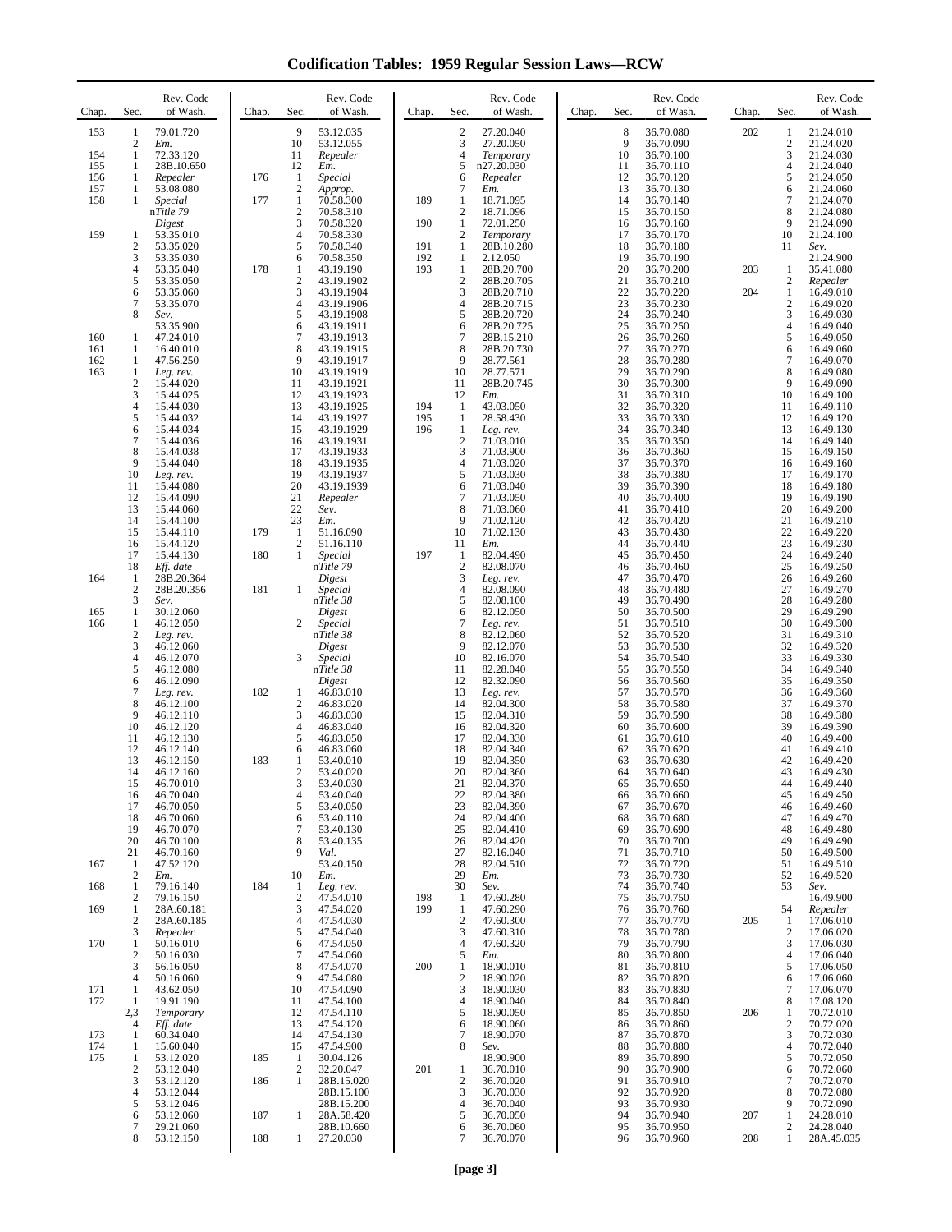**Codification Tables: 1959 Regular Session Laws—RCW**

| Chap.      | Sec.                                  | Rev. Code<br>of Wash.                 | Chap. | Rev. Code<br>Sec.<br>of Wash.                                                | Chap.      | Sec.                              | Rev. Code<br>of Wash.               | Sec.<br>Chap.  | Rev. Code<br>of Wash.               | Chap. | Sec.                           | Rev. Code<br>of Wash.               |
|------------|---------------------------------------|---------------------------------------|-------|------------------------------------------------------------------------------|------------|-----------------------------------|-------------------------------------|----------------|-------------------------------------|-------|--------------------------------|-------------------------------------|
| 153        | 1<br>2                                | 79.01.720<br>Em.                      |       | 9<br>53.12.035<br>10<br>53.12.055                                            |            | $\overline{c}$<br>3               | 27.20.040<br>27.20.050              | 8<br>9         | 36.70.080<br>36.70.090              | 202   | 1<br>$\boldsymbol{2}$          | 21.24.010<br>21.24.020              |
| 154<br>155 | 1<br>1                                | 72.33.120<br>28B.10.650               |       | 11<br>Repealer<br>12<br>Em.                                                  |            | $\overline{4}$<br>5               | Temporary<br>n27.20.030             | 10<br>11       | 36.70.100<br>36.70.110              |       | 3<br>$\overline{4}$            | 21.24.030<br>21.24.040              |
| 156        | 1                                     | Repealer                              | 176   | 1<br>Special                                                                 |            | 6                                 | Repealer                            | 12             | 36.70.120                           |       | 5                              | 21.24.050                           |
| 157<br>158 | 1<br>1                                | 53.08.080<br>Special                  | 177   | $\mathbf{2}$<br>Approp.<br>$\mathbf{1}$<br>70.58.300                         | 189        | 7<br>1                            | Em.<br>18.71.095                    | 13<br>14       | 36.70.130<br>36.70.140              |       | 6<br>$\overline{7}$            | 21.24.060<br>21.24.070              |
|            |                                       | nTitle 79<br>Digest                   |       | $\overline{c}$<br>70.58.310<br>3<br>70.58.320                                | 190        | $\overline{c}$<br>1               | 18.71.096<br>72.01.250              | 15<br>16       | 36.70.150<br>36.70.160              |       | 8<br>9                         | 21.24.080<br>21.24.090              |
| 159        | 1<br>$\overline{2}$                   | 53.35.010<br>53.35.020                |       | $\overline{4}$<br>70.58.330<br>5<br>70.58.340                                | 191        | $\overline{2}$<br>1               | Temporary<br>28B.10.280             | 17<br>18       | 36.70.170<br>36.70.180              |       | 10<br>11                       | 21.24.100<br>Sev.                   |
|            | 3<br>4                                | 53.35.030<br>53.35.040                | 178   | 6<br>70.58.350<br>1<br>43.19.190                                             | 192<br>193 | 1<br>$\mathbf{1}$                 | 2.12.050<br>28B.20.700              | 19<br>20       | 36.70.190<br>36.70.200              | 203   | 1                              | 21.24.900<br>35.41.080              |
|            | 5<br>6                                | 53.35.050<br>53.35.060                |       | $\mathbf{2}$<br>43.19.1902<br>3<br>43.19.1904                                |            | $\sqrt{2}$<br>3                   | 28B.20.705<br>28B.20.710            | 21<br>22       | 36.70.210<br>36.70.220              | 204   | $\overline{c}$<br>1            | Repealer<br>16.49.010               |
|            | 7<br>8                                | 53.35.070                             |       | $\overline{4}$<br>43.19.1906<br>5                                            |            | $\overline{4}$<br>5               | 28B.20.715<br>28B.20.720            | 23<br>24       | 36.70.230                           |       | $\overline{c}$<br>3            | 16.49.020<br>16.49.030              |
|            |                                       | Sev.<br>53.35.900                     |       | 43.19.1908<br>6<br>43.19.1911                                                |            | 6                                 | 28B.20.725                          | 25             | 36.70.240<br>36.70.250              |       | 4                              | 16.49.040                           |
| 160<br>161 | 1<br>1                                | 47.24.010<br>16.40.010                |       | 7<br>43.19.1913<br>8<br>43.19.1915                                           |            | $\overline{7}$<br>8               | 28B.15.210<br>28B.20.730            | 26<br>27       | 36.70.260<br>36.70.270              |       | 5<br>6                         | 16.49.050<br>16.49.060              |
| 162<br>163 | 1<br>1                                | 47.56.250<br>Leg. rev.                |       | 9<br>43.19.1917<br>10<br>43.19.1919                                          |            | 9<br>10                           | 28.77.561<br>28.77.571              | 28<br>29       | 36.70.280<br>36.70.290              |       | 7<br>8                         | 16.49.070<br>16.49.080              |
|            | $\overline{c}$<br>3                   | 15.44.020<br>15.44.025                |       | 11<br>43.19.1921<br>12<br>43.19.1923                                         |            | 11<br>12                          | 28B.20.745<br>Em.                   | 30<br>31       | 36.70.300<br>36.70.310              |       | 9<br>10                        | 16.49.090<br>16.49.100              |
|            | 4<br>5                                | 15.44.030<br>15.44.032                |       | 13<br>43.19.1925<br>14<br>43.19.1927                                         | 194<br>195 | 1<br>$\mathbf{1}$                 | 43.03.050<br>28.58.430              | 32<br>33       | 36.70.320<br>36.70.330              |       | 11<br>12                       | 16.49.110<br>16.49.120              |
|            | 6<br>7                                | 15.44.034<br>15.44.036                |       | 15<br>43.19.1929<br>16<br>43.19.1931                                         | 196        | $\mathbf{1}$<br>$\overline{2}$    | Leg. rev.<br>71.03.010              | 34<br>35       | 36.70.340<br>36.70.350              |       | 13<br>14                       | 16.49.130<br>16.49.140              |
|            | 8<br>9                                | 15.44.038<br>15.44.040                |       | 17<br>43.19.1933<br>18<br>43.19.1935                                         |            | 3<br>$\overline{4}$               | 71.03.900<br>71.03.020              | 36<br>37       | 36.70.360                           |       | 15<br>16                       | 16.49.150<br>16.49.160              |
|            | 10                                    | Leg. rev.                             |       | 19<br>43.19.1937                                                             |            | 5                                 | 71.03.030                           | 38             | 36.70.370<br>36.70.380              |       | 17                             | 16.49.170                           |
|            | 11<br>12                              | 15.44.080<br>15.44.090                |       | 20<br>43.19.1939<br>21<br>Repealer                                           |            | 6<br>$\overline{7}$               | 71.03.040<br>71.03.050              | 39<br>40       | 36.70.390<br>36.70.400              |       | 18<br>19                       | 16.49.180<br>16.49.190              |
|            | 13<br>14                              | 15.44.060<br>15.44.100                |       | 22<br>Sev.<br>23<br>Em.                                                      |            | 8<br>9                            | 71.03.060<br>71.02.120              | 41<br>42       | 36.70.410<br>36.70.420              |       | 20<br>21                       | 16.49.200<br>16.49.210              |
|            | 15<br>16                              | 15.44.110<br>15.44.120                | 179   | $\mathbf{1}$<br>51.16.090<br>2<br>51.16.110                                  |            | 10<br>11                          | 71.02.130<br>Em.                    | 43<br>44       | 36.70.430<br>36.70.440              |       | 22<br>23                       | 16.49.220<br>16.49.230              |
|            | 17<br>18                              | 15.44.130<br>Eff. date                | 180   | 1<br>Special<br>nTitle 79                                                    | 197        | $\mathbf{1}$<br>$\sqrt{2}$        | 82.04.490<br>82.08.070              | 45<br>46       | 36.70.450<br>36.70.460              |       | 24<br>25                       | 16.49.240<br>16.49.250              |
| 164        | 1<br>$\overline{2}$                   | 28B.20.364<br>28B.20.356              | 181   | Digest<br>$\mathbf{1}$<br>Special                                            |            | 3<br>$\overline{4}$               | Leg. rev.<br>82.08.090              | 47<br>48       | 36.70.470<br>36.70.480              |       | 26<br>27                       | 16.49.260<br>16.49.270              |
| 165        | 3<br>1                                | Sev.<br>30.12.060                     |       | nTitle 38<br>Digest                                                          |            | 5<br>6                            | 82.08.100<br>82.12.050              | 49<br>50       | 36.70.490<br>36.70.500              |       | 28<br>29                       | 16.49.280<br>16.49.290              |
| 166        | 1<br>$\overline{c}$                   | 46.12.050                             |       | 2<br>Special<br>nTitle 38                                                    |            | $\overline{7}$<br>8               | Leg. rev.<br>82.12.060              | 51<br>52       | 36.70.510<br>36.70.520              |       | 30<br>31                       | 16.49.300<br>16.49.310              |
|            | 3                                     | Leg. rev.<br>46.12.060                |       | Digest                                                                       |            | 9                                 | 82.12.070                           | 53             | 36.70.530                           |       | 32                             | 16.49.320                           |
|            | 4<br>5                                | 46.12.070<br>46.12.080                |       | 3<br>Special<br>nTitle 38                                                    |            | 10<br>11                          | 82.16.070<br>82.28.040              | 54<br>55       | 36.70.540<br>36.70.550              |       | 33<br>34                       | 16.49.330<br>16.49.340              |
|            | 6<br>7                                | 46.12.090<br>Leg. rev.                | 182   | Digest<br>1<br>46.83.010                                                     |            | 12<br>13                          | 82.32.090<br>Leg. rev.              | 56<br>57       | 36.70.560<br>36.70.570              |       | 35<br>36                       | 16.49.350<br>16.49.360              |
|            | 8<br>9                                | 46.12.100<br>46.12.110                |       | $\boldsymbol{2}$<br>46.83.020<br>3<br>46.83.030                              |            | 14<br>15                          | 82.04.300<br>82.04.310              | 58<br>59       | 36.70.580<br>36.70.590              |       | 37<br>38                       | 16.49.370<br>16.49.380              |
|            | 10<br>11                              | 46.12.120<br>46.12.130                |       | $\overline{4}$<br>46.83.040<br>5<br>46.83.050                                |            | 16<br>17                          | 82.04.320<br>82.04.330              | 60<br>61       | 36.70.600<br>36.70.610              |       | 39<br>40                       | 16.49.390<br>16.49.400              |
|            | 12<br>13                              | 46.12.140<br>46.12.150                | 183   | 6<br>46.83.060<br>53.40.010<br>1                                             |            | 18<br>19                          | 82.04.340<br>82.04.350              | 62<br>63       | 36.70.620<br>36.70.630              |       | 41<br>42                       | 16.49.410<br>16.49.420              |
|            | 14<br>15                              | 46.12.160<br>46.70.010                |       | 2<br>53.40.020<br>3<br>53.40.030                                             |            | 20<br>21                          | 82.04.360<br>82.04.370              | 64<br>65       | 36.70.640<br>36.70.650              |       | 43<br>44                       | 16.49.430<br>16.49.440              |
|            | 16<br>17                              | 46.70.040<br>46.70.050                |       | 4<br>53.40.040<br>5<br>53.40.050                                             |            | 22<br>23                          | 82.04.380<br>82.04.390              | 66<br>67       | 36.70.660<br>36.70.670              |       | 45<br>46                       | 16.49.450<br>16.49.460              |
|            | 18                                    | 46.70.060                             |       | 53.40.110<br>6                                                               |            | 24                                | 82.04.400                           | 68             | 36.70.680                           |       | 47                             | 16.49.470                           |
|            | 19<br>20                              | 46.70.070<br>46.70.100                |       | 7<br>53.40.130<br>8<br>53.40.135                                             |            | 25<br>26                          | 82.04.410<br>82.04.420              | 69<br>70       | 36.70.690<br>36.70.700              |       | 48<br>49                       | 16.49.480<br>16.49.490              |
| 167        | 21<br>-1                              | 46.70.160<br>47.52.120                |       | 9<br>Val.<br>53.40.150                                                       |            | 27<br>28                          | 82.16.040<br>82.04.510              | 71<br>72       | 36.70.710<br>36.70.720              |       | 50<br>51                       | 16.49.500<br>16.49.510              |
| 168        | $\mathfrak{2}$<br>1                   | Em.<br>79.16.140                      | 184   | 10<br>Em.<br>1<br>Leg. rev.                                                  |            | 29<br>30                          | Em.<br>Sev.                         | 73<br>74       | 36.70.730<br>36.70.740              |       | 52<br>53                       | 16.49.520<br>Sev.                   |
| 169        | $\overline{2}$<br>1<br>$\overline{2}$ | 79.16.150<br>28A.60.181<br>28A.60.185 |       | $\mathfrak{2}$<br>47.54.010<br>3<br>47.54.020<br>$\overline{4}$<br>47.54.030 | 198<br>199 | 1<br>1<br>$\overline{2}$          | 47.60.280<br>47.60.290<br>47.60.300 | 75<br>76<br>77 | 36.70.750<br>36.70.760<br>36.70.770 | 205   | 54<br>1                        | 16.49.900<br>Repealer<br>17.06.010  |
| 170        | 3<br>1                                | Repealer<br>50.16.010                 |       | 5<br>47.54.040<br>47.54.050<br>6                                             |            | 3<br>$\overline{4}$               | 47.60.310<br>47.60.320              | 78<br>79       | 36.70.780<br>36.70.790              |       | $\overline{2}$<br>3            | 17.06.020<br>17.06.030              |
|            | 2<br>3                                | 50.16.030<br>56.16.050                |       | 7<br>47.54.060<br>8<br>47.54.070<br>9                                        | 200        | 5<br>1                            | Em.<br>18.90.010                    | 80<br>81       | 36.70.800<br>36.70.810              |       | $\overline{4}$<br>5            | 17.06.040<br>17.06.050              |
| 171<br>172 | 4<br>1<br>1                           | 50.16.060<br>43.62.050<br>19.91.190   |       | 47.54.080<br>47.54.090<br>10<br>11<br>47.54.100                              |            | $\sqrt{2}$<br>3<br>$\overline{4}$ | 18.90.020<br>18.90.030<br>18.90.040 | 82<br>83<br>84 | 36.70.820<br>36.70.830<br>36.70.840 |       | 6<br>$\overline{7}$<br>8       | 17.06.060<br>17.06.070<br>17.08.120 |
|            | 2,3                                   | Temporary                             |       | 12<br>47.54.110                                                              |            | 5                                 | 18.90.050                           | 85             | 36.70.850                           | 206   | 1                              | 70.72.010                           |
| 173        | 4<br>1                                | Eff. date<br>60.34.040                |       | 13<br>47.54.120<br>14<br>47.54.130                                           |            | 6<br>$\overline{7}$               | 18.90.060<br>18.90.070              | 86<br>87       | 36.70.860<br>36.70.870              |       | $\overline{c}$<br>3            | 70.72.020<br>70.72.030              |
| 174<br>175 | 1<br>1                                | 15.60.040<br>53.12.020                | 185   | 15<br>47.54.900<br>$\mathbf{1}$<br>30.04.126                                 |            | 8                                 | Sev.<br>18.90.900                   | 88<br>89       | 36.70.880<br>36.70.890              |       | $\overline{4}$<br>5            | 70.72.040<br>70.72.050              |
|            | $\overline{\mathbf{c}}$<br>3          | 53.12.040<br>53.12.120                | 186   | $\mathbf{2}$<br>32.20.047<br>$\mathbf{1}$<br>28B.15.020                      | 201        | $\mathbf{1}$<br>$\sqrt{2}$        | 36.70.010<br>36.70.020              | 90<br>91       | 36.70.900<br>36.70.910              |       | 6<br>7                         | 70.72.060<br>70.72.070              |
|            | 4<br>5                                | 53.12.044<br>53.12.046                |       | 28B.15.100<br>28B.15.200                                                     |            | 3<br>$\overline{4}$               | 36.70.030<br>36.70.040              | 92<br>93       | 36.70.920<br>36.70.930              |       | 8<br>9                         | 70.72.080<br>70.72.090              |
|            | 6<br>7                                | 53.12.060<br>29.21.060                | 187   | 1<br>28A.58.420<br>28B.10.660                                                |            | 5<br>6                            | 36.70.050<br>36.70.060              | 94<br>95       | 36.70.940<br>36.70.950              | 207   | $\mathbf{1}$<br>$\mathfrak{2}$ | 24.28.010<br>24.28.040              |
|            | 8                                     | 53.12.150                             | 188   | 27.20.030<br>1                                                               |            | $\overline{7}$                    | 36.70.070                           | 96             | 36.70.960                           | 208   | 1                              | 28A.45.035                          |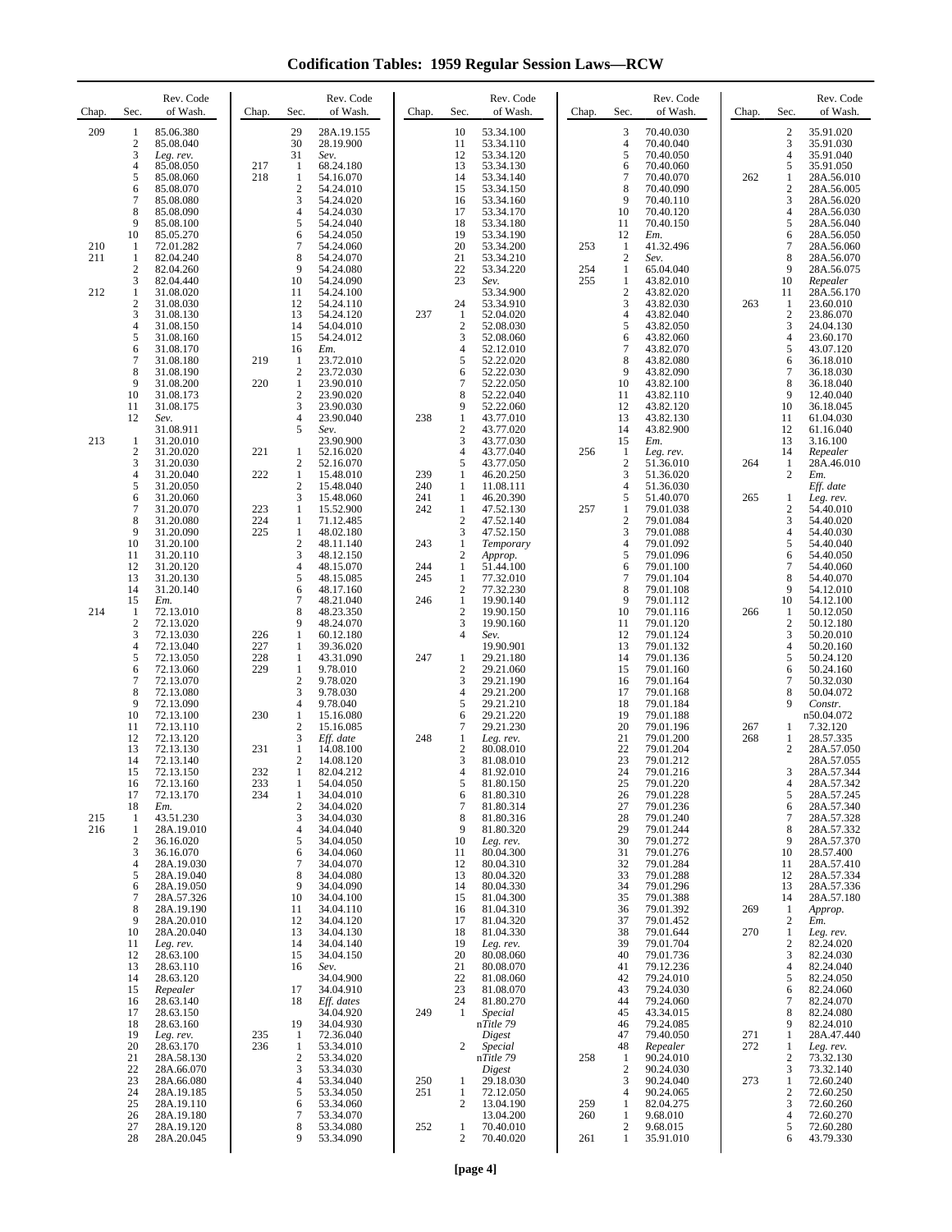**Codification Tables: 1959 Regular Session Laws—RCW**

| Chap.             | Sec.                                                                           | Rev. Code<br>of Wash.                                                                                                                                                 | Chap.                    | Rev. Code<br>Sec.<br>of Wash.                                                                                                                                                                                                                                       | Chap.                    | Sec.                                                                                                   | Rev. Code<br>of Wash.                                                                                                                                                 | Chap.             | Sec.                                                                       | Rev. Code<br>of Wash.                                                                                                                                                 | Chap.             | Sec.                                                                                                     | Rev. Code<br>of Wash.                                                                                                                                                          |
|-------------------|--------------------------------------------------------------------------------|-----------------------------------------------------------------------------------------------------------------------------------------------------------------------|--------------------------|---------------------------------------------------------------------------------------------------------------------------------------------------------------------------------------------------------------------------------------------------------------------|--------------------------|--------------------------------------------------------------------------------------------------------|-----------------------------------------------------------------------------------------------------------------------------------------------------------------------|-------------------|----------------------------------------------------------------------------|-----------------------------------------------------------------------------------------------------------------------------------------------------------------------|-------------------|----------------------------------------------------------------------------------------------------------|--------------------------------------------------------------------------------------------------------------------------------------------------------------------------------|
| 209               | 1<br>$\boldsymbol{2}$<br>3<br>$\overline{4}$<br>5<br>6<br>7<br>8<br>9          | 85.06.380<br>85.08.040<br>Leg. rev.<br>85.08.050<br>85.08.060<br>85.08.070<br>85.08.080<br>85.08.090<br>85.08.100                                                     | 217<br>218               | 29<br>28A.19.155<br>30<br>28.19.900<br>31<br>Sev.<br>68.24.180<br>$\mathbf{1}$<br>$\mathbf{1}$<br>54.16.070<br>$\sqrt{2}$<br>54.24.010<br>3<br>54.24.020<br>$\overline{4}$<br>54.24.030<br>5<br>54.24.040                                                           |                          | 10<br>11<br>12<br>13<br>14<br>15<br>16<br>17<br>18                                                     | 53.34.100<br>53.34.110<br>53.34.120<br>53.34.130<br>53.34.140<br>53.34.150<br>53.34.160<br>53.34.170<br>53.34.180                                                     |                   | 3<br>$\overline{4}$<br>5<br>6<br>7<br>8<br>9<br>10<br>11                   | 70.40.030<br>70.40.040<br>70.40.050<br>70.40.060<br>70.40.070<br>70.40.090<br>70.40.110<br>70.40.120<br>70.40.150                                                     | 262               | $\overline{\mathbf{c}}$<br>3<br>$\overline{4}$<br>5<br>1<br>$\boldsymbol{2}$<br>3<br>$\overline{4}$<br>5 | 35.91.020<br>35.91.030<br>35.91.040<br>35.91.050<br>28A.56.010<br>28A.56.005<br>28A.56.020<br>28A.56.030<br>28A.56.040                                                         |
| 210<br>211<br>212 | 10<br>1<br>$\mathbf{1}$<br>$\mathfrak{2}$<br>3<br>1                            | 85.05.270<br>72.01.282<br>82.04.240<br>82.04.260<br>82.04.440<br>31.08.020                                                                                            |                          | 54.24.050<br>6<br>$\overline{7}$<br>54.24.060<br>8<br>54.24.070<br>9<br>54.24.080<br>54.24.090<br>10<br>11<br>54.24.100                                                                                                                                             |                          | 19<br>20<br>21<br>22<br>23                                                                             | 53.34.190<br>53.34.200<br>53.34.210<br>53.34.220<br>Sev.<br>53.34.900                                                                                                 | 253<br>254<br>255 | 12<br>-1<br>$\overline{2}$<br>1<br>$\mathbf{1}$<br>$\overline{c}$          | Em.<br>41.32.496<br>Sev.<br>65.04.040<br>43.82.010<br>43.82.020                                                                                                       |                   | 6<br>7<br>8<br>9<br>10<br>11                                                                             | 28A.56.050<br>28A.56.060<br>28A.56.070<br>28A.56.075<br>Repealer<br>28A.56.170                                                                                                 |
|                   | $\overline{2}$<br>3<br>4<br>5<br>6<br>$\overline{7}$<br>8                      | 31.08.030<br>31.08.130<br>31.08.150<br>31.08.160<br>31.08.170<br>31.08.180<br>31.08.190                                                                               | 219                      | 12<br>54.24.110<br>13<br>54.24.120<br>14<br>54.04.010<br>15<br>54.24.012<br>16<br>Em.<br>23.72.010<br>1<br>$\overline{c}$<br>23.72.030                                                                                                                              | 237                      | 24<br>1<br>$\sqrt{2}$<br>3<br>$\overline{4}$<br>5<br>6                                                 | 53.34.910<br>52.04.020<br>52.08.030<br>52.08.060<br>52.12.010<br>52.22.020<br>52.22.030                                                                               |                   | 3<br>4<br>5<br>6<br>$\tau$<br>8<br>9                                       | 43.82.030<br>43.82.040<br>43.82.050<br>43.82.060<br>43.82.070<br>43.82.080<br>43.82.090                                                                               | 263               | $\mathbf{1}$<br>$\sqrt{2}$<br>3<br>$\overline{4}$<br>5<br>6<br>7                                         | 23.60.010<br>23.86.070<br>24.04.130<br>23.60.170<br>43.07.120<br>36.18.010<br>36.18.030                                                                                        |
| 213               | 9<br>10<br>11<br>12<br>$\mathbf{1}$                                            | 31.08.200<br>31.08.173<br>31.08.175<br>Sev.<br>31.08.911<br>31.20.010                                                                                                 | 220                      | $\mathbf{1}$<br>23.90.010<br>$\overline{c}$<br>23.90.020<br>3<br>23.90.030<br>$\overline{4}$<br>23.90.040<br>5<br>Sev.<br>23.90.900                                                                                                                                 | 238                      | $\overline{7}$<br>8<br>9<br>$\mathbf{1}$<br>$\sqrt{2}$<br>3                                            | 52.22.050<br>52.22.040<br>52.22.060<br>43.77.010<br>43.77.020<br>43.77.030                                                                                            |                   | 10<br>11<br>12<br>13<br>14<br>15                                           | 43.82.100<br>43.82.110<br>43.82.120<br>43.82.130<br>43.82.900<br>Em.                                                                                                  |                   | 8<br>9<br>10<br>11<br>12<br>13                                                                           | 36.18.040<br>12.40.040<br>36.18.045<br>61.04.030<br>61.16.040<br>3.16.100                                                                                                      |
|                   | $\mathfrak{2}$<br>3<br>4<br>5<br>6<br>7                                        | 31.20.020<br>31.20.030<br>31.20.040<br>31.20.050<br>31.20.060<br>31.20.070                                                                                            | 221<br>222<br>223        | 1<br>52.16.020<br>$\overline{c}$<br>52.16.070<br>$\mathbf{1}$<br>15.48.010<br>$\overline{c}$<br>15.48.040<br>3<br>15.48.060<br>15.52.900<br>$\mathbf{1}$                                                                                                            | 239<br>240<br>241<br>242 | $\overline{4}$<br>5<br>1<br>1<br>$\mathbf{1}$<br>1                                                     | 43.77.040<br>43.77.050<br>46.20.250<br>11.08.111<br>46.20.390<br>47.52.130                                                                                            | 256<br>257        | $\mathbf{1}$<br>$\overline{2}$<br>3<br>4<br>5<br>$\mathbf{1}$              | Leg. rev.<br>51.36.010<br>51.36.020<br>51.36.030<br>51.40.070<br>79.01.038                                                                                            | 264<br>265        | 14<br>1<br>$\mathbf{2}$<br>1<br>2                                                                        | Repealer<br>28A.46.010<br>Em.<br>Eff. date<br>Leg. rev.<br>54.40.010                                                                                                           |
|                   | 8<br>9<br>10<br>11<br>12<br>13<br>14<br>15                                     | 31.20.080<br>31.20.090<br>31.20.100<br>31.20.110<br>31.20.120<br>31.20.130<br>31.20.140<br>Em.                                                                        | 224<br>225               | $\mathbf{1}$<br>71.12.485<br>$\mathbf{1}$<br>48.02.180<br>$\overline{2}$<br>48.11.140<br>3<br>48.12.150<br>48.15.070<br>4<br>5<br>48.15.085<br>48.17.160<br>6<br>7                                                                                                  | 243<br>244<br>245<br>246 | $\sqrt{2}$<br>3<br>$\mathbf{1}$<br>$\boldsymbol{2}$<br>1<br>$\mathbf{1}$<br>$\sqrt{2}$<br>$\mathbf{1}$ | 47.52.140<br>47.52.150<br>Temporary<br>Approp.<br>51.44.100<br>77.32.010<br>77.32.230                                                                                 |                   | $\overline{c}$<br>3<br>4<br>5<br>6<br>$\tau$<br>8<br>9                     | 79.01.084<br>79.01.088<br>79.01.092<br>79.01.096<br>79.01.100<br>79.01.104<br>79.01.108                                                                               |                   | 3<br>$\overline{4}$<br>5<br>6<br>7<br>8<br>9<br>10                                                       | 54.40.020<br>54.40.030<br>54.40.040<br>54.40.050<br>54.40.060<br>54.40.070<br>54.12.010                                                                                        |
| 214               | 1<br>$\overline{2}$<br>3<br>$\overline{4}$<br>5<br>6<br>$\overline{7}$         | 72.13.010<br>72.13.020<br>72.13.030<br>72.13.040<br>72.13.050<br>72.13.060<br>72.13.070                                                                               | 226<br>227<br>228<br>229 | 48.21.040<br>8<br>48.23.350<br>9<br>48.24.070<br>$\mathbf{1}$<br>60.12.180<br>$\mathbf{1}$<br>39.36.020<br>$\mathbf{1}$<br>43.31.090<br>$\mathbf{1}$<br>9.78.010<br>$\overline{c}$<br>9.78.020                                                                      | 247                      | $\boldsymbol{2}$<br>3<br>$\overline{4}$<br>1<br>$\sqrt{2}$<br>3                                        | 19.90.140<br>19.90.150<br>19.90.160<br>Sev.<br>19.90.901<br>29.21.180<br>29.21.060<br>29.21.190                                                                       |                   | 10<br>11<br>12<br>13<br>14<br>15<br>16                                     | 79.01.112<br>79.01.116<br>79.01.120<br>79.01.124<br>79.01.132<br>79.01.136<br>79.01.160<br>79.01.164                                                                  | 266               | 1<br>$\boldsymbol{2}$<br>3<br>$\overline{4}$<br>5<br>6<br>7                                              | 54.12.100<br>50.12.050<br>50.12.180<br>50.20.010<br>50.20.160<br>50.24.120<br>50.24.160<br>50.32.030                                                                           |
|                   | 8<br>9<br>10<br>11<br>12<br>13<br>14                                           | 72.13.080<br>72.13.090<br>72.13.100<br>72.13.110<br>72.13.120<br>72.13.130<br>72.13.140                                                                               | 230<br>231               | 3<br>9.78.030<br>4<br>9.78.040<br>$\mathbf{1}$<br>15.16.080<br>$\overline{c}$<br>15.16.085<br>3<br>Eff. date<br>$\mathbf{1}$<br>14.08.100<br>2<br>14.08.120                                                                                                         | 248                      | $\overline{4}$<br>5<br>6<br>$\tau$<br>1<br>$\boldsymbol{2}$<br>3                                       | 29.21.200<br>29.21.210<br>29.21.220<br>29.21.230<br>Leg. rev.<br>80.08.010<br>81.08.010                                                                               |                   | 17<br>18<br>19<br>20<br>21<br>22<br>23                                     | 79.01.168<br>79.01.184<br>79.01.188<br>79.01.196<br>79.01.200<br>79.01.204<br>79.01.212                                                                               | 267<br>268        | 8<br>9<br>1<br>1<br>2                                                                                    | 50.04.072<br>Constr.<br>n50.04.072<br>7.32.120<br>28.57.335<br>28A.57.050<br>28A.57.055                                                                                        |
| 215<br>216        | 15<br>16<br>17<br>18<br>1<br>1<br>$\overline{2}$<br>3<br>4<br>5<br>6<br>7<br>8 | 72.13.150<br>72.13.160<br>72.13.170<br>Em.<br>43.51.230<br>28A.19.010<br>36.16.020<br>36.16.070<br>28A.19.030<br>28A.19.040<br>28A.19.050<br>28A.57.326<br>28A.19.190 | 232<br>233<br>234        | $\mathbf{1}$<br>82.04.212<br>$\mathbf{1}$<br>54.04.050<br>1<br>34.04.010<br>2<br>34.04.020<br>34.04.030<br>3<br>34.04.040<br>4<br>34.04.050<br>5<br>34.04.060<br>6<br>$\tau$<br>34.04.070<br>8<br>34.04.080<br>34.04.090<br>9<br>10<br>34.04.100<br>11<br>34.04.110 |                          | 4<br>5<br>6<br>$\overline{7}$<br>8<br>9<br>10<br>11<br>12<br>13<br>14<br>15<br>16                      | 81.92.010<br>81.80.150<br>81.80.310<br>81.80.314<br>81.80.316<br>81.80.320<br>Leg. rev.<br>80.04.300<br>80.04.310<br>80.04.320<br>80.04.330<br>81.04.300<br>81.04.310 |                   | 24<br>25<br>26<br>27<br>28<br>29<br>30<br>31<br>32<br>33<br>34<br>35<br>36 | 79.01.216<br>79.01.220<br>79.01.228<br>79.01.236<br>79.01.240<br>79.01.244<br>79.01.272<br>79.01.276<br>79.01.284<br>79.01.288<br>79.01.296<br>79.01.388<br>79.01.392 | 269               | 3<br>4<br>5<br>6<br>$\overline{7}$<br>8<br>9<br>10<br>11<br>12<br>13<br>14<br>$\mathbf{1}$               | 28A.57.344<br>28A.57.342<br>28A.57.245<br>28A.57.340<br>28A.57.328<br>28A.57.332<br>28A.57.370<br>28.57.400<br>28A.57.410<br>28A.57.334<br>28A.57.336<br>28A.57.180<br>Approp. |
|                   | 9<br>10<br>11<br>12<br>13<br>14<br>15<br>16                                    | 28A.20.010<br>28A.20.040<br>Leg. rev.<br>28.63.100<br>28.63.110<br>28.63.120<br>Repealer<br>28.63.140                                                                 |                          | 34.04.120<br>12<br>13<br>34.04.130<br>34.04.140<br>14<br>15<br>34.04.150<br>16<br>Sev.<br>34.04.900<br>34.04.910<br>17<br>18<br>Eff. dates                                                                                                                          |                          | 17<br>18<br>19<br>20<br>21<br>22<br>23<br>24                                                           | 81.04.320<br>81.04.330<br>Leg. rev.<br>80.08.060<br>80.08.070<br>81.08.060<br>81.08.070<br>81.80.270                                                                  |                   | 37<br>38<br>39<br>40<br>41<br>42<br>43<br>44                               | 79.01.452<br>79.01.644<br>79.01.704<br>79.01.736<br>79.12.236<br>79.24.010<br>79.24.030<br>79.24.060                                                                  | 270               | $\boldsymbol{2}$<br>1<br>$\mathfrak{2}$<br>3<br>4<br>5<br>6<br>7                                         | Em.<br>Leg. rev.<br>82.24.020<br>82.24.030<br>82.24.040<br>82.24.050<br>82.24.060<br>82.24.070                                                                                 |
|                   | 17<br>18<br>19<br>20<br>21<br>22<br>23<br>24<br>25<br>26                       | 28.63.150<br>28.63.160<br>Leg. rev.<br>28.63.170<br>28A.58.130<br>28A.66.070<br>28A.66.080<br>28A.19.185<br>28A.19.110<br>28A.19.180                                  | 235<br>236               | 34.04.920<br>19<br>34.04.930<br>72.36.040<br>-1<br>53.34.010<br>1<br>$\overline{c}$<br>53.34.020<br>3<br>53.34.030<br>4<br>53.34.040<br>5<br>53.34.050<br>53.34.060<br>6<br>7<br>53.34.070                                                                          | 249<br>250<br>251        | 1<br>2<br>1<br>1<br>2                                                                                  | Special<br>nTitle 79<br>Digest<br>Special<br>nTitle 79<br>Digest<br>29.18.030<br>72.12.050<br>13.04.190                                                               | 258<br>259<br>260 | 45<br>46<br>47<br>48<br>-1<br>2<br>3<br>4<br>1<br>1                        | 43.34.015<br>79.24.085<br>79.40.050<br>Repealer<br>90.24.010<br>90.24.030<br>90.24.040<br>90.24.065<br>82.04.275<br>9.68.010                                          | 271<br>272<br>273 | 8<br>9<br>1<br>1<br>$\mathfrak{2}$<br>3<br>1<br>$\mathfrak{2}$<br>3<br>4                                 | 82.24.080<br>82.24.010<br>28A.47.440<br>Leg. rev.<br>73.32.130<br>73.32.140<br>72.60.240<br>72.60.250<br>72.60.260<br>72.60.270                                                |
|                   | 27<br>28                                                                       | 28A.19.120<br>28A.20.045                                                                                                                                              |                          | 8<br>53.34.080<br>9<br>53.34.090                                                                                                                                                                                                                                    | 252                      | 1<br>$\overline{c}$                                                                                    | 13.04.200<br>70.40.010<br>70.40.020                                                                                                                                   | 261               | $\overline{\mathbf{c}}$<br>1                                               | 9.68.015<br>35.91.010                                                                                                                                                 |                   | 5<br>6                                                                                                   | 72.60.280<br>43.79.330                                                                                                                                                         |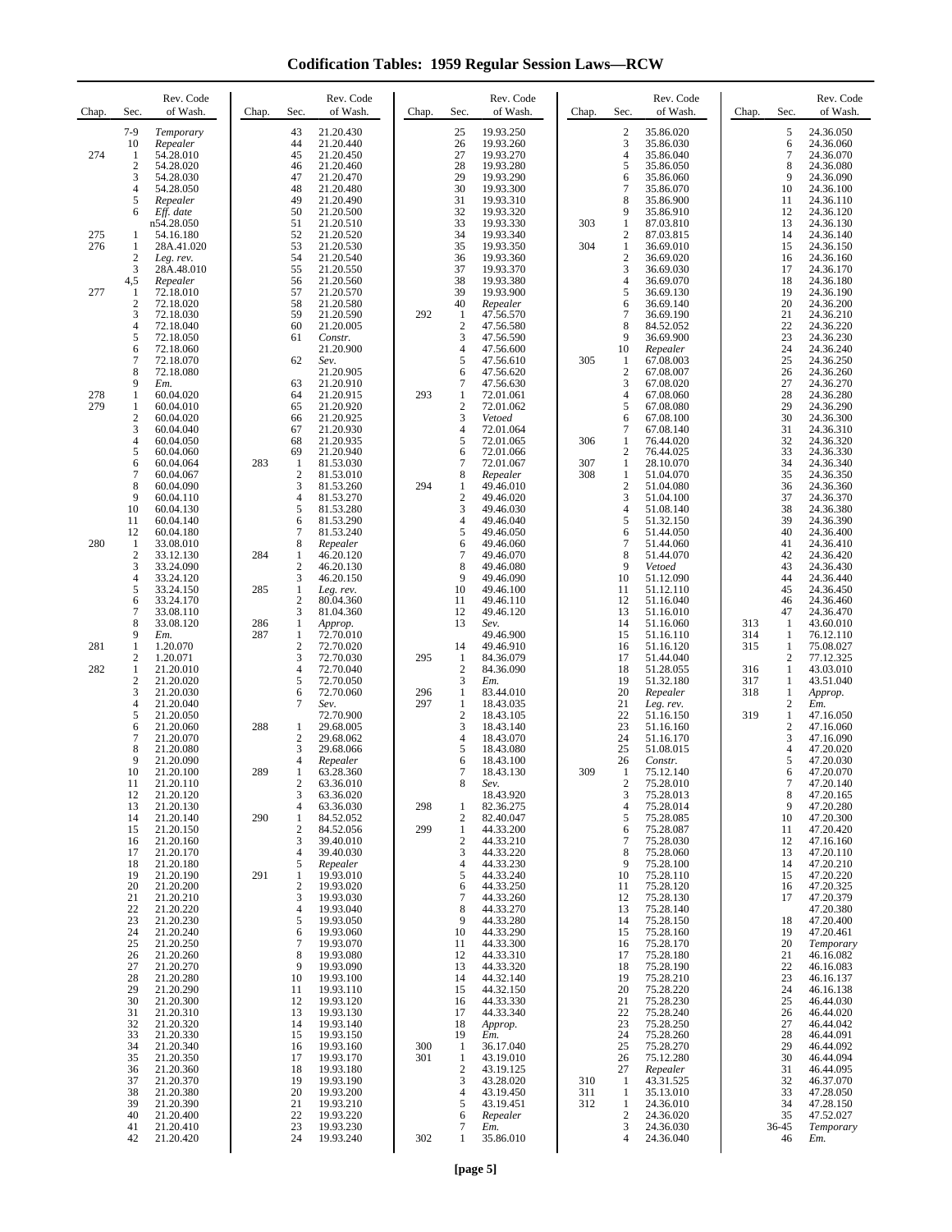**Codification Tables: 1959 Regular Session Laws—RCW**

| Chap.      | Sec.                                           | Rev. Code<br>of Wash.                                         | Chap.      | Sec.                                            | Rev. Code<br>of Wash.                                         | Chap.      | Sec.                                                  | Rev. Code<br>of Wash.                                         | Chap.             | Sec.                                            | Rev. Code<br>of Wash.                                         | Chap.             | Sec.                                   | Rev. Code<br>of Wash.                                         |
|------------|------------------------------------------------|---------------------------------------------------------------|------------|-------------------------------------------------|---------------------------------------------------------------|------------|-------------------------------------------------------|---------------------------------------------------------------|-------------------|-------------------------------------------------|---------------------------------------------------------------|-------------------|----------------------------------------|---------------------------------------------------------------|
| 274        | $7-9$<br>10<br>-1<br>$\mathbf{2}$<br>3         | Temporary<br>Repealer<br>54.28.010<br>54.28.020<br>54.28.030  |            | 43<br>44<br>45<br>46<br>47                      | 21.20.430<br>21.20.440<br>21.20.450<br>21.20.460<br>21.20.470 |            | 25<br>26<br>27<br>28<br>29                            | 19.93.250<br>19.93.260<br>19.93.270<br>19.93.280<br>19.93.290 |                   | $\overline{2}$<br>3<br>$\overline{4}$<br>5<br>6 | 35.86.020<br>35.86.030<br>35.86.040<br>35.86.050<br>35.86.060 |                   | 5<br>6<br>7<br>8<br>9                  | 24.36.050<br>24.36.060<br>24.36.070<br>24.36.080<br>24.36.090 |
| 275        | 4<br>5<br>6<br>$\mathbf{1}$                    | 54.28.050<br>Repealer<br>Eff. date<br>n54.28.050<br>54.16.180 |            | 48<br>49<br>50<br>51<br>52                      | 21.20.480<br>21.20.490<br>21.20.500<br>21.20.510<br>21.20.520 |            | 30<br>31<br>32<br>33<br>34                            | 19.93.300<br>19.93.310<br>19.93.320<br>19.93.330<br>19.93.340 | 303               | 7<br>8<br>9<br>1<br>$\overline{c}$              | 35.86.070<br>35.86.900<br>35.86.910<br>87.03.810<br>87.03.815 |                   | 10<br>11<br>12<br>13<br>14             | 24.36.100<br>24.36.110<br>24.36.120<br>24.36.130<br>24.36.140 |
| 276        | 1<br>$\mathbf{2}$<br>3                         | 28A.41.020<br>Leg. rev.<br>28A.48.010                         |            | 53<br>54<br>55                                  | 21.20.530<br>21.20.540<br>21.20.550                           |            | 35<br>36<br>37                                        | 19.93.350<br>19.93.360<br>19.93.370                           | 304               | $\mathbf{1}$<br>$\overline{c}$<br>3             | 36.69.010<br>36.69.020<br>36.69.030                           |                   | 15<br>16<br>17                         | 24.36.150<br>24.36.160<br>24.36.170                           |
| 277        | 4,5<br>-1<br>$\boldsymbol{2}$<br>3             | Repealer<br>72.18.010<br>72.18.020<br>72.18.030               |            | 56<br>57<br>58<br>59                            | 21.20.560<br>21.20.570<br>21.20.580<br>21.20.590              | 292        | 38<br>39<br>40<br>$\mathbf{1}$                        | 19.93.380<br>19.93.900<br>Repealer<br>47.56.570               |                   | 4<br>5<br>6<br>7                                | 36.69.070<br>36.69.130<br>36.69.140<br>36.69.190              |                   | 18<br>19<br>20<br>21                   | 24.36.180<br>24.36.190<br>24.36.200<br>24.36.210              |
|            | 4<br>5<br>6<br>7                               | 72.18.040<br>72.18.050<br>72.18.060<br>72.18.070              |            | 60<br>61<br>62                                  | 21.20.005<br>Constr.<br>21.20.900<br>Sev.                     |            | $\overline{c}$<br>3<br>$\overline{4}$<br>5            | 47.56.580<br>47.56.590<br>47.56.600<br>47.56.610              | 305               | 8<br>9<br>10<br>$\mathbf{1}$                    | 84.52.052<br>36.69.900<br>Repealer<br>67.08.003               |                   | 22<br>23<br>24<br>25                   | 24.36.220<br>24.36.230<br>24.36.240<br>24.36.250              |
| 278<br>279 | 8<br>9<br>1<br>$\mathbf{1}$                    | 72.18.080<br>Em.<br>60.04.020<br>60.04.010                    |            | 63<br>64<br>65                                  | 21.20.905<br>21.20.910<br>21.20.915<br>21.20.920              | 293        | 6<br>$\overline{7}$<br>$\mathbf{1}$<br>$\overline{c}$ | 47.56.620<br>47.56.630<br>72.01.061<br>72.01.062              |                   | $\overline{2}$<br>3<br>4<br>5                   | 67.08.007<br>67.08.020<br>67.08.060<br>67.08.080              |                   | 26<br>27<br>28<br>29                   | 24.36.260<br>24.36.270<br>24.36.280<br>24.36.290              |
|            | $\mathbf{2}$<br>3<br>4<br>5                    | 60.04.020<br>60.04.040<br>60.04.050<br>60.04.060              |            | 66<br>67<br>68<br>69                            | 21.20.925<br>21.20.930<br>21.20.935<br>21.20.940              |            | 3<br>$\overline{4}$<br>5<br>6                         | Vetoed<br>72.01.064<br>72.01.065<br>72.01.066                 | 306               | 6<br>7<br>1<br>$\overline{2}$                   | 67.08.100<br>67.08.140<br>76.44.020<br>76.44.025              |                   | 30<br>31<br>32<br>33                   | 24.36.300<br>24.36.310<br>24.36.320<br>24.36.330              |
|            | 6<br>7<br>8<br>9                               | 60.04.064<br>60.04.067<br>60.04.090<br>60.04.110              | 283        | 1<br>$\overline{c}$<br>3<br>$\overline{4}$<br>5 | 81.53.030<br>81.53.010<br>81.53.260<br>81.53.270              | 294        | $\overline{7}$<br>8<br>1<br>$\overline{c}$            | 72.01.067<br>Repealer<br>49.46.010<br>49.46.020<br>49.46.030  | 307<br>308        | $\mathbf{1}$<br>1<br>$\overline{2}$<br>3        | 28.10.070<br>51.04.070<br>51.04.080<br>51.04.100              |                   | 34<br>35<br>36<br>37<br>38             | 24.36.340<br>24.36.350<br>24.36.360<br>24.36.370              |
| 280        | 10<br>11<br>12<br>$\mathbf{1}$<br>$\mathbf{2}$ | 60.04.130<br>60.04.140<br>60.04.180<br>33.08.010<br>33.12.130 | 284        | 6<br>7<br>8<br>1                                | 81.53.280<br>81.53.290<br>81.53.240<br>Repealer<br>46.20.120  |            | 3<br>$\overline{4}$<br>5<br>6<br>$\overline{7}$       | 49.46.040<br>49.46.050<br>49.46.060<br>49.46.070              |                   | 4<br>5<br>6<br>7<br>8                           | 51.08.140<br>51.32.150<br>51.44.050<br>51.44.060<br>51.44.070 |                   | 39<br>40<br>41<br>42                   | 24.36.380<br>24.36.390<br>24.36.400<br>24.36.410<br>24.36.420 |
|            | 3<br>4<br>5<br>6                               | 33.24.090<br>33.24.120<br>33.24.150<br>33.24.170              | 285        | $\overline{c}$<br>3<br>1<br>2                   | 46.20.130<br>46.20.150<br>Leg. rev.<br>80.04.360              |            | 8<br>9<br>10<br>11                                    | 49.46.080<br>49.46.090<br>49.46.100<br>49.46.110              |                   | 9<br>10<br>11<br>12                             | Vetoed<br>51.12.090<br>51.12.110<br>51.16.040                 |                   | 43<br>44<br>45<br>46                   | 24.36.430<br>24.36.440<br>24.36.450<br>24.36.460              |
|            | 7<br>8<br>9                                    | 33.08.110<br>33.08.120<br>Em.                                 | 286<br>287 | 3<br>1<br>1                                     | 81.04.360<br>Approp.<br>72.70.010                             |            | 12<br>13                                              | 49.46.120<br>Sev.<br>49.46.900                                |                   | 13<br>14<br>15                                  | 51.16.010<br>51.16.060<br>51.16.110                           | 313<br>314        | 47<br>1<br>1                           | 24.36.470<br>43.60.010<br>76.12.110                           |
| 281<br>282 | 1<br>2<br>$\mathbf{1}$<br>$\mathbf{2}$         | 1.20.070<br>1.20.071<br>21.20.010<br>21.20.020                |            | $\overline{c}$<br>3<br>4<br>5                   | 72.70.020<br>72.70.030<br>72.70.040<br>72.70.050              | 295        | 14<br>1<br>$\overline{2}$<br>3                        | 49.46.910<br>84.36.079<br>84.36.090<br>Em.                    |                   | 16<br>17<br>18<br>19                            | 51.16.120<br>51.44.040<br>51.28.055<br>51.32.180              | 315<br>316<br>317 | $\mathbf{1}$<br>2<br>$\mathbf{1}$<br>1 | 75.08.027<br>77.12.325<br>43.03.010<br>43.51.040              |
|            | 3<br>4<br>5<br>6                               | 21.20.030<br>21.20.040<br>21.20.050<br>21.20.060              | 288        | 6<br>7<br>1                                     | 72.70.060<br>Sev.<br>72.70.900<br>29.68.005                   | 296<br>297 | $\mathbf{1}$<br>$\mathbf{1}$<br>$\overline{c}$<br>3   | 83.44.010<br>18.43.035<br>18.43.105<br>18.43.140              |                   | 20<br>21<br>22<br>23                            | Repealer<br>Leg. rev.<br>51.16.150<br>51.16.160               | 318<br>319        | 1<br>$\overline{c}$<br>1<br>2          | Approp.<br>Em.<br>47.16.050<br>47.16.060                      |
|            | 7<br>8<br>9<br>10                              | 21.20.070<br>21.20.080<br>21.20.090<br>21.20.100              | 289        | 2<br>3<br>4<br>1                                | 29.68.062<br>29.68.066<br>Repealer<br>63.28.360               |            | $\overline{4}$<br>5<br>6<br>$\overline{7}$            | 18.43.070<br>18.43.080<br>18.43.100<br>18.43.130              | 309               | 24<br>25<br>26<br>1                             | 51.16.170<br>51.08.015<br>Constr.<br>75.12.140                |                   | 3<br>$\overline{4}$<br>5<br>6          | 47.16.090<br>47.20.020<br>47.20.030<br>47.20.070              |
|            | 11<br>12<br>13<br>14                           | 21.20.110<br>21.20.120<br>21.20.130<br>21.20.140              | 290        | 2<br>3<br>4<br>1                                | 63.36.010<br>63.36.020<br>63.36.030<br>84.52.052              | 298        | 8<br>1<br>$\boldsymbol{2}$                            | Sev.<br>18.43.920<br>82.36.275<br>82.40.047                   |                   | 2<br>3<br>4<br>5                                | 75.28.010<br>75.28.013<br>75.28.014<br>75.28.085              |                   | 7<br>8<br>9<br>10                      | 47.20.140<br>47.20.165<br>47.20.280<br>47.20.300              |
|            | 15<br>16<br>17<br>18                           | 21.20.150<br>21.20.160<br>21.20.170<br>21.20.180              |            | 2<br>3<br>$\overline{4}$<br>5                   | 84.52.056<br>39.40.010<br>39.40.030<br>Repealer               | 299        | $\mathbf{1}$<br>$\frac{2}{3}$<br>$\overline{4}$       | 44.33.200<br>44.33.210<br>44.33.220<br>44.33.230              |                   | 6<br>7<br>8<br>9                                | 75.28.087<br>75.28.030<br>75.28.060<br>75.28.100              |                   | 11<br>12<br>13<br>14                   | 47.20.420<br>47.16.160<br>47.20.110<br>47.20.210              |
|            | 19<br>20<br>21<br>22                           | 21.20.190<br>21.20.200<br>21.20.210<br>21.20.220              | 291        | 1<br>$\boldsymbol{2}$<br>3<br>4                 | 19.93.010<br>19.93.020<br>19.93.030<br>19.93.040              |            | 5<br>6<br>$\overline{7}$<br>8                         | 44.33.240<br>44.33.250<br>44.33.260<br>44.33.270              |                   | 10<br>11<br>12<br>13                            | 75.28.110<br>75.28.120<br>75.28.130<br>75.28.140              |                   | 15<br>16<br>17                         | 47.20.220<br>47.20.325<br>47.20.379<br>47.20.380              |
|            | 23<br>24<br>25<br>26                           | 21.20.230<br>21.20.240<br>21.20.250<br>21.20.260              |            | 5<br>6<br>$\overline{7}$<br>8                   | 19.93.050<br>19.93.060<br>19.93.070<br>19.93.080              |            | 9<br>10<br>11<br>12                                   | 44.33.280<br>44.33.290<br>44.33.300<br>44.33.310              |                   | 14<br>15<br>16<br>17                            | 75.28.150<br>75.28.160<br>75.28.170<br>75.28.180              |                   | 18<br>19<br>20<br>21                   | 47.20.400<br>47.20.461<br>Temporary<br>46.16.082<br>46.16.083 |
|            | 27<br>28<br>29<br>30<br>31                     | 21.20.270<br>21.20.280<br>21.20.290<br>21.20.300<br>21.20.310 |            | 9<br>10<br>11<br>12<br>13                       | 19.93.090<br>19.93.100<br>19.93.110<br>19.93.120<br>19.93.130 |            | 13<br>14<br>15<br>16<br>17                            | 44.33.320<br>44.32.140<br>44.32.150<br>44.33.330<br>44.33.340 |                   | 18<br>19<br>20<br>21<br>22                      | 75.28.190<br>75.28.210<br>75.28.220<br>75.28.230<br>75.28.240 |                   | 22<br>23<br>24<br>25<br>26             | 46.16.137<br>46.16.138<br>46.44.030<br>46.44.020              |
|            | 32<br>33<br>34<br>35                           | 21.20.320<br>21.20.330<br>21.20.340<br>21.20.350              |            | 14<br>15<br>16<br>17                            | 19.93.140<br>19.93.150<br>19.93.160<br>19.93.170              | 300<br>301 | 18<br>19<br>1<br>$\mathbf{1}$                         | Approp.<br>Em.<br>36.17.040<br>43.19.010                      |                   | 23<br>24<br>25<br>26                            | 75.28.250<br>75.28.260<br>75.28.270<br>75.12.280              |                   | 27<br>28<br>29<br>30                   | 46.44.042<br>46.44.091<br>46.44.092<br>46.44.094              |
|            | 36<br>37<br>38<br>39                           | 21.20.360<br>21.20.370<br>21.20.380<br>21.20.390              |            | 18<br>19<br>20<br>21                            | 19.93.180<br>19.93.190<br>19.93.200<br>19.93.210              |            | $\overline{c}$<br>3<br>$\overline{4}$<br>5            | 43.19.125<br>43.28.020<br>43.19.450<br>43.19.451              | 310<br>311<br>312 | 27<br>$\mathbf{1}$<br>$\mathbf{1}$<br>1         | Repealer<br>43.31.525<br>35.13.010<br>24.36.010               |                   | 31<br>32<br>33<br>34                   | 46.44.095<br>46.37.070<br>47.28.050<br>47.28.150              |
|            | 40<br>41<br>42                                 | 21.20.400<br>21.20.410<br>21.20.420                           |            | 22<br>23<br>24                                  | 19.93.220<br>19.93.230<br>19.93.240                           | 302        | 6<br>$\overline{7}$<br>1                              | Repealer<br>Em.<br>35.86.010                                  |                   | 2<br>3<br>4                                     | 24.36.020<br>24.36.030<br>24.36.040                           |                   | 35<br>36-45<br>46                      | 47.52.027<br>Temporary<br>Em.                                 |